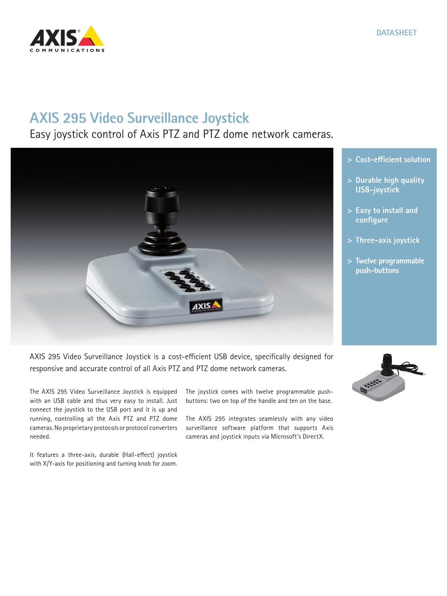

## **AXIS 295 Video Surveillance Joystick**

## Easy joystick control of Axis PTZ and PTZ dome network cameras.



- **> Cost-efficient solution**
- **> Durable high quality USB-joystick**
- **> Easy to install and configure**
- **> Three-axis joystick**
- **> Twelve programmable push-buttons**

AXIS 295 Video Surveillance Joystick is a cost-efficient USB device, specifically designed for responsive and accurate control of all Axis PTZ and PTZ dome network cameras.

The AXIS 295 Video Surveillance Joystick is equipped with an USB cable and thus very easy to install. Just connect the joystick to the USB port and it is up and running, controlling all the Axis PTZ and PTZ dome cameras. No proprietary protocols or protocol converters needed.

It features a three-axis, durable (Hall-effect) joystick with X/Y-axis for positioning and turning knob for zoom.

The joystick comes with twelve programmable pushbuttons: two on top of the handle and ten on the base.

The AXIS 295 integrates seamlessly with any video surveillance software platform that supports Axis cameras and joystick inputs via Microsoft's DirectX.